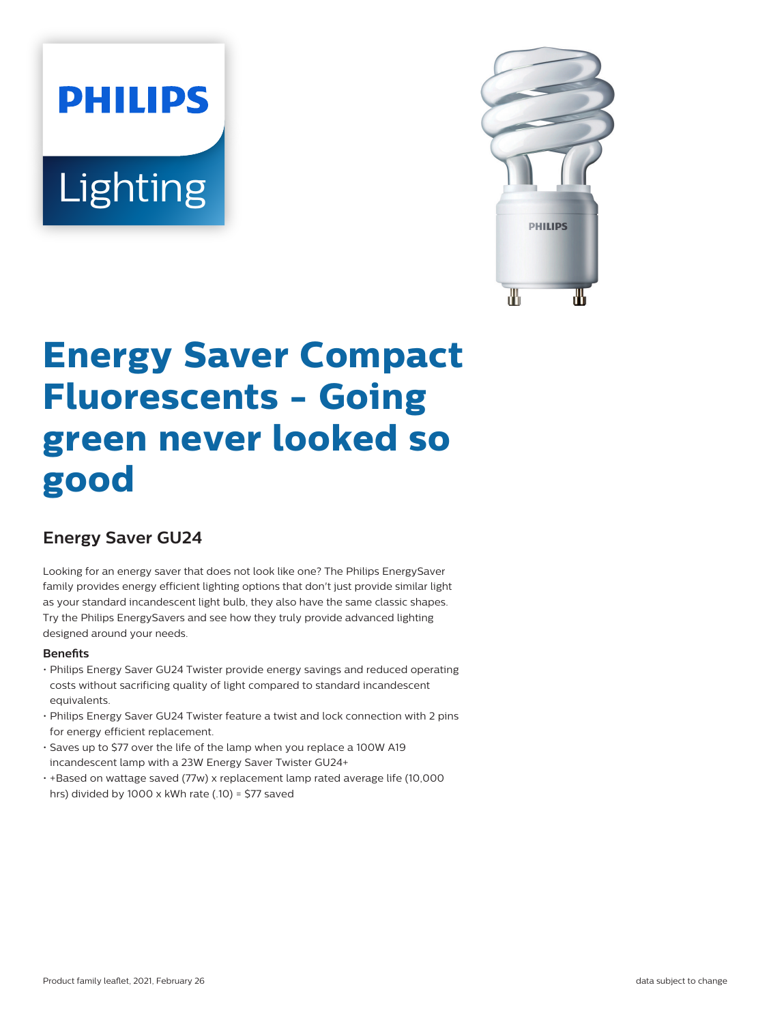# **PHILIPS Lighting**



# **Energy Saver Compact Fluorescents - Going green never looked so good**

# **Energy Saver GU24**

Looking for an energy saver that does not look like one? The Philips EnergySaver family provides energy efficient lighting options that don't just provide similar light as your standard incandescent light bulb, they also have the same classic shapes. Try the Philips EnergySavers and see how they truly provide advanced lighting designed around your needs.

#### **Benefits**

- Philips Energy Saver GU24 Twister provide energy savings and reduced operating costs without sacrificing quality of light compared to standard incandescent equivalents.
- Philips Energy Saver GU24 Twister feature a twist and lock connection with 2 pins for energy efficient replacement.
- Saves up to \$77 over the life of the lamp when you replace a 100W A19 incandescent lamp with a 23W Energy Saver Twister GU24+
- +Based on wattage saved (77w) x replacement lamp rated average life (10,000 hrs) divided by 1000 x kWh rate (.10) = \$77 saved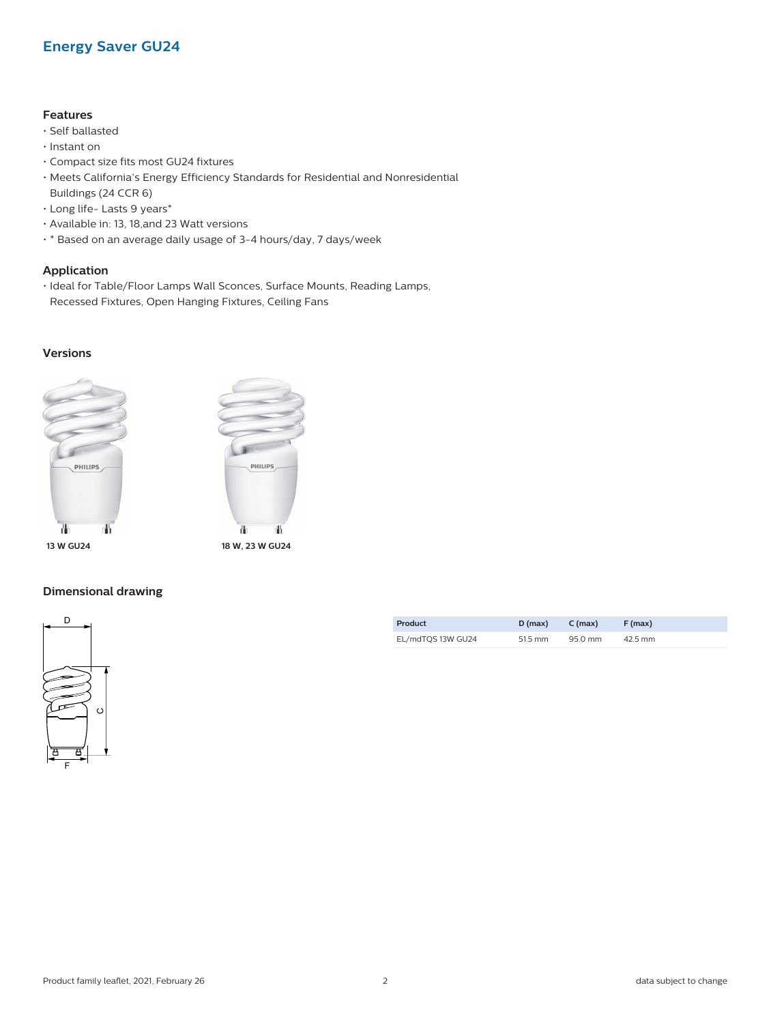## **Energy Saver GU24**

#### **Features**

- Self ballasted
- Instant on
- Compact size fits most GU24 fixtures
- Meets California's Energy Efficiency Standards for Residential and Nonresidential Buildings (24 CCR 6)
- Long life- Lasts 9 years\*
- Available in: 13, 18,and 23 Watt versions
- \* Based on an average daily usage of 3-4 hours/day, 7 days/week

#### **Application**

• Ideal for Table/Floor Lamps Wall Sconces, Surface Mounts, Reading Lamps, Recessed Fixtures, Open Hanging Fixtures, Ceiling Fans

#### **Versions**





#### **Dimensional drawing**



| Product           | $D$ (max) | $C \, (max)$ | $F$ (max) |
|-------------------|-----------|--------------|-----------|
| EL/mdTQS 13W GU24 | 51.5 mm   | 95.0 mm      | 42.5 mm   |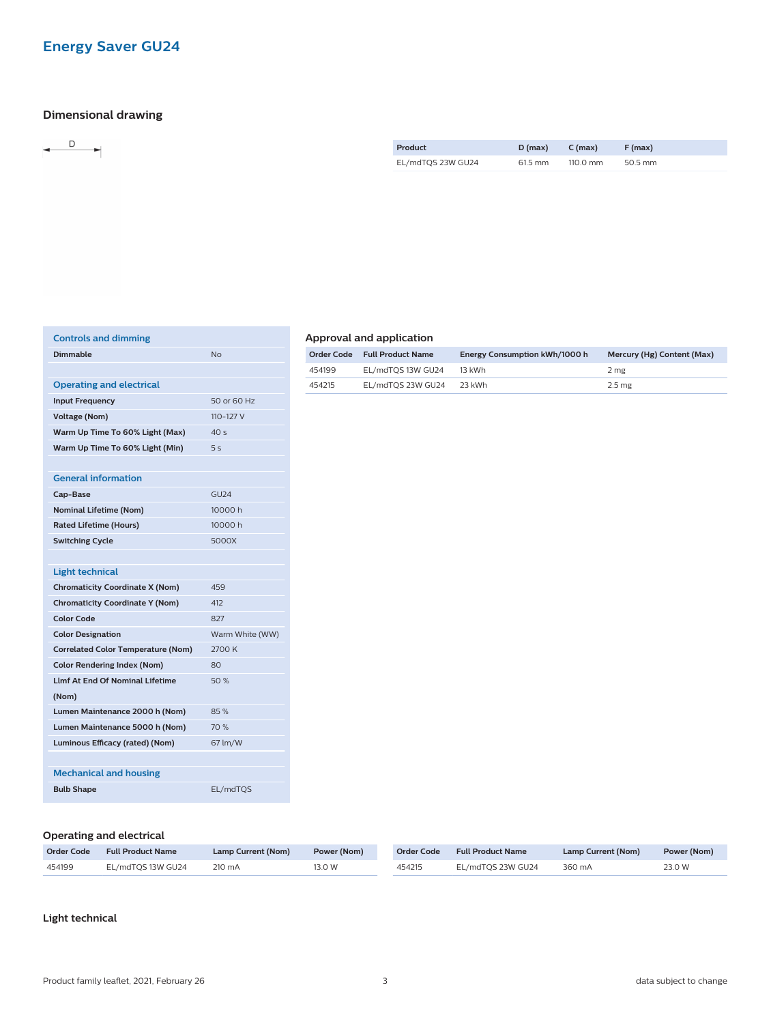# **Energy Saver GU24**

#### **Dimensional drawing**

| <b>Controls and dimming</b>               |                 |
|-------------------------------------------|-----------------|
| <b>Dimmable</b>                           | <b>No</b>       |
|                                           |                 |
| <b>Operating and electrical</b>           |                 |
| <b>Input Frequency</b>                    | 50 or 60 Hz     |
| <b>Voltage (Nom)</b>                      | 110-127 V       |
| Warm Up Time To 60% Light (Max)           | 40s             |
| Warm Up Time To 60% Light (Min)           | 5s              |
|                                           |                 |
| <b>General information</b>                |                 |
| Cap-Base                                  | <b>GU24</b>     |
| <b>Nominal Lifetime (Nom)</b>             | 10000 h         |
| <b>Rated Lifetime (Hours)</b>             | 10000 h         |
| <b>Switching Cycle</b>                    | 5000X           |
|                                           |                 |
| <b>Light technical</b>                    |                 |
| <b>Chromaticity Coordinate X (Nom)</b>    | 459             |
| <b>Chromaticity Coordinate Y (Nom)</b>    | 412             |
| <b>Color Code</b>                         | 827             |
| <b>Color Designation</b>                  | Warm White (WW) |
| <b>Correlated Color Temperature (Nom)</b> | 2700 K          |
| <b>Color Rendering Index (Nom)</b>        | 80              |
| <b>Limf At End Of Nominal Lifetime</b>    | 50%             |
| (Nom)                                     |                 |
| Lumen Maintenance 2000 h (Nom)            | 85%             |
| Lumen Maintenance 5000 h (Nom)            | 70 %            |
| Luminous Efficacy (rated) (Nom)           | 67 lm/W         |
|                                           |                 |
| <b>Mechanical and housing</b>             |                 |
| <b>Bulb Shape</b>                         | EL/mdTQS        |
|                                           |                 |

#### **Approval and application**

| Order Code | <b>Full Product Name</b> | Energy Consumption kWh/1000 h | Mercury (Hg) Content (Max) |
|------------|--------------------------|-------------------------------|----------------------------|
| 454199     | EL/mdTOS 13W GU24        | 13 kWh                        | 2 mg                       |
| 454215     | EL/mdTOS 23W GU24        | 23 kWh                        | $2.5$ mg                   |

#### **Operating and electrical**

| <b>Order Code</b> | <b>Full Product Name</b> | Lamp Current (Nom) | Power (Nom) | <b>Order Code</b> | <b>Full Product Name</b> | Lamp Current (Nom) | Power (Nom) |
|-------------------|--------------------------|--------------------|-------------|-------------------|--------------------------|--------------------|-------------|
| 454199            | EL/mdTOS 13W GU24        | 210 mA             | 3.0 W       | 454215            | EL/mdTOS 23W GU24        | 360 mA             | 23.0 W      |

#### **Light technical**